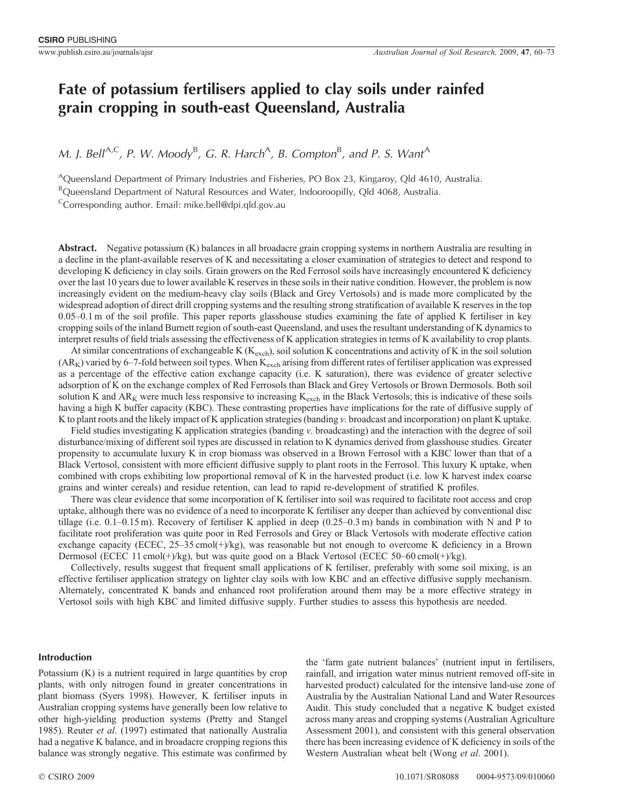# **Fate of potassium fertilisers applied to clay soils under rainfed grain cropping in south-east Queensland, Australia**

*M. J. Bell<sup>A,C</sup>, P. W. Moody<sup>B</sup>, G. R. Harch<sup>A</sup>, B. Compton<sup>B</sup>, and P. S. Want<sup>A</sup>* 

<sup>A</sup>Queensland Department of Primary Industries and Fisheries, PO Box 23, Kingaroy, Qld 4610, Australia. <sup>B</sup>Queensland Department of Natural Resources and Water, Indooroopilly, Qld 4068, Australia.

<sup>C</sup>Corresponding author. Email: mike.bell@dpi.qld.gov.au

Abstract. Negative potassium (K) balances in all broadacre grain cropping systems in northern Australia are resulting in a decline in the plant-available reserves of K and necessitating a closer examination of strategies to detect and respond to developing K deficiency in clay soils. Grain growers on the Red Ferrosol soils have increasingly encountered K deficiency over the last 10 years due to lower available K reserves in these soils in their native condition. However, the problem is now increasingly evident on the medium-heavy clay soils (Black and Grey Vertosols) and is made more complicated by the widespread adoption of direct drill cropping systems and the resulting strong stratification of available K reserves in the top 0.05–0.1 m of the soil profile. This paper reports glasshouse studies examining the fate of applied K fertiliser in key cropping soils of the inland Burnett region of south-east Queensland, and uses the resultant understanding of K dynamics to interpret results of field trials assessing the effectiveness of K application strategies in terms of K availability to crop plants.

At similar concentrations of exchangeable K ( $K_{\text{exch}}$ ), soil solution K concentrations and activity of K in the soil solution  $(AR<sub>K</sub>)$  varied by 6–7-fold between soil types. When  $K<sub>exch</sub>$  arising from different rates of fertiliser application was expressed as a percentage of the effective cation exchange capacity (i.e. K saturation), there was evidence of greater selective adsorption of K on the exchange complex of Red Ferrosols than Black and Grey Vertosols or Brown Dermosols. Both soil solution K and  $AR_K$  were much less responsive to increasing  $K_{\text{exch}}$  in the Black Vertosols; this is indicative of these soils having a high K buffer capacity (KBC). These contrasting properties have implications for the rate of diffusive supply of K to plant roots and the likely impact of K application strategies (banding *v.* broadcast and incorporation) on plant K uptake.

Field studies investigating K application strategies (banding *v.* broadcasting) and the interaction with the degree of soil disturbance/mixing of different soil types are discussed in relation to K dynamics derived from glasshouse studies. Greater propensity to accumulate luxury K in crop biomass was observed in a Brown Ferrosol with a KBC lower than that of a Black Vertosol, consistent with more efficient diffusive supply to plant roots in the Ferrosol. This luxury K uptake, when combined with crops exhibiting low proportional removal of K in the harvested product (i.e. low K harvest index coarse grains and winter cereals) and residue retention, can lead to rapid re-development of stratified K profiles.

There was clear evidence that some incorporation of K fertiliser into soil was required to facilitate root access and crop uptake, although there was no evidence of a need to incorporate K fertiliser any deeper than achieved by conventional disc tillage (i.e. 0.1–0.15 m). Recovery of fertiliser K applied in deep (0.25–0.3 m) bands in combination with N and P to facilitate root proliferation was quite poor in Red Ferrosols and Grey or Black Vertosols with moderate effective cation exchange capacity (ECEC, 25–35 cmol(+)/kg), was reasonable but not enough to overcome K deficiency in a Brown Dermosol (ECEC 11 cmol(+)/kg), but was quite good on a Black Vertosol (ECEC 50–60 cmol(+)/kg).

Collectively, results suggest that frequent small applications of K fertiliser, preferably with some soil mixing, is an effective fertiliser application strategy on lighter clay soils with low KBC and an effective diffusive supply mechanism. Alternately, concentrated K bands and enhanced root proliferation around them may be a more effective strategy in Vertosol soils with high KBC and limited diffusive supply. Further studies to assess this hypothesis are needed.

# **Introduction**

Potassium (K) is a nutrient required in large quantities by crop plants, with only nitrogen found in greater concentrations in plant biomass [\(Syers 1998\)](#page-13-0). However, K fertiliser inputs in Australian cropping systems have generally been low relative to other high-yielding production systems [\(Pretty and Stangel](#page-13-0) [1985\)](#page-13-0). Reuter *et al*[. \(1997\)](#page-13-0) estimated that nationally Australia had a negative K balance, and in broadacre cropping regions this balance was strongly negative. This estimate was confirmed by

the 'farm gate nutrient balances' (nutrient input in fertilisers, rainfall, and irrigation water minus nutrient removed off-site in harvested product) calculated for the intensive land-use zone of Australia by the Australian National Land and Water Resources Audit. This study concluded that a negative K budget existed across many areas and cropping systems ([Australian Agriculture](#page-12-0) [Assessment 2001\)](#page-12-0), and consistent with this general observation there has been increasing evidence of K deficiency in soils of the Western Australian wheat belt (Wong *et al*[. 2001\)](#page-13-0).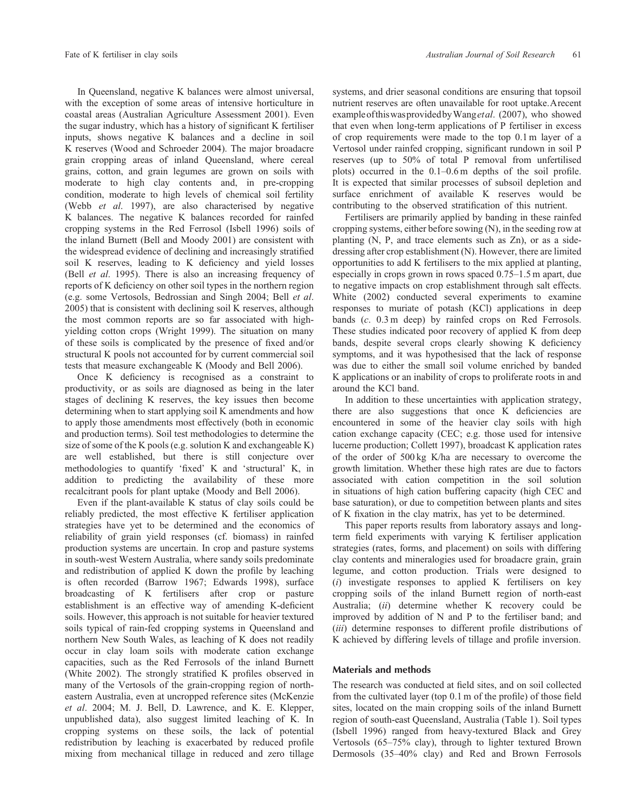In Queensland, negative K balances were almost universal, with the exception of some areas of intensive horticulture in coastal areas [\(Australian Agriculture Assessment 2001](#page-12-0)). Even the sugar industry, which has a history of significant K fertiliser inputs, shows negative K balances and a decline in soil K reserves [\(Wood and Schroeder 2004\)](#page-13-0). The major broadacre grain cropping areas of inland Queensland, where cereal grains, cotton, and grain legumes are grown on soils with moderate to high clay contents and, in pre-cropping condition, moderate to high levels of chemical soil fertility (Webb *et al*[. 1997](#page-13-0)), are also characterised by negative K balances. The negative K balances recorded for rainfed cropping systems in the Red Ferrosol [\(Isbell 1996\)](#page-13-0) soils of the inland Burnett [\(Bell and Moody 2001](#page-12-0)) are consistent with the widespread evidence of declining and increasingly stratified soil K reserves, leading to K deficiency and yield losses (Bell *et al*[. 1995\)](#page-12-0). There is also an increasing frequency of reports of K deficiency on other soil types in the northern region (e.g. some Vertosols, [Bedrossian and Singh 2004;](#page-12-0) Bell *[et al](#page-12-0)*. [2005](#page-12-0)) that is consistent with declining soil K reserves, although the most common reports are so far associated with highyielding cotton crops ([Wright 1999](#page-13-0)). The situation on many of these soils is complicated by the presence of fixed and/or structural K pools not accounted for by current commercial soil tests that measure exchangeable K ([Moody and Bell 2006\)](#page-13-0).

Once K deficiency is recognised as a constraint to productivity, or as soils are diagnosed as being in the later stages of declining K reserves, the key issues then become determining when to start applying soil K amendments and how to apply those amendments most effectively (both in economic and production terms). Soil test methodologies to determine the size of some of the K pools (e.g. solution K and exchangeable K) are well established, but there is still conjecture over methodologies to quantify 'fixed' K and 'structural' K, in addition to predicting the availability of these more recalcitrant pools for plant uptake ([Moody and Bell 2006\)](#page-13-0).

Even if the plant-available K status of clay soils could be reliably predicted, the most effective K fertiliser application strategies have yet to be determined and the economics of reliability of grain yield responses (cf. biomass) in rainfed production systems are uncertain. In crop and pasture systems in south-west Western Australia, where sandy soils predominate and redistribution of applied K down the profile by leaching is often recorded ([Barrow 1967;](#page-12-0) [Edwards 1998\)](#page-13-0), surface broadcasting of K fertilisers after crop or pasture establishment is an effective way of amending K-deficient soils. However, this approach is not suitable for heavier textured soils typical of rain-fed cropping systems in Queensland and northern New South Wales, as leaching of K does not readily occur in clay loam soils with moderate cation exchange capacities, such as the Red Ferrosols of the inland Burnett [\(White 2002\)](#page-13-0). The strongly stratified K profiles observed in many of the Vertosols of the grain-cropping region of northeastern Australia, even at uncropped reference sites [\(McKenzie](#page-13-0) *et al*[. 2004;](#page-13-0) M. J. Bell, D. Lawrence, and K. E. Klepper, unpublished data), also suggest limited leaching of K. In cropping systems on these soils, the lack of potential redistribution by leaching is exacerbated by reduced profile mixing from mechanical tillage in reduced and zero tillage

systems, and drier seasonal conditions are ensuring that topsoil nutrient reserves are often unavailable for root uptake.Arecent exampleofthiswasprovidedbyWang*etal*[. \(2007\)](#page-13-0), who showed that even when long-term applications of P fertiliser in excess of crop requirements were made to the top 0.1 m layer of a Vertosol under rainfed cropping, significant rundown in soil P reserves (up to 50% of total P removal from unfertilised plots) occurred in the 0.1–0.6 m depths of the soil profile. It is expected that similar processes of subsoil depletion and surface enrichment of available K reserves would be contributing to the observed stratification of this nutrient.

Fertilisers are primarily applied by banding in these rainfed cropping systems, either before sowing (N), in the seeding row at planting (N, P, and trace elements such as Zn), or as a sidedressing after crop establishment (N). However, there are limited opportunities to add K fertilisers to the mix applied at planting, especially in crops grown in rows spaced 0.75–1.5 m apart, due to negative impacts on crop establishment through salt effects. [White \(2002\)](#page-13-0) conducted several experiments to examine responses to muriate of potash (KCl) applications in deep bands (*c*. 0.3 m deep) by rainfed crops on Red Ferrosols. These studies indicated poor recovery of applied K from deep bands, despite several crops clearly showing K deficiency symptoms, and it was hypothesised that the lack of response was due to either the small soil volume enriched by banded K applications or an inability of crops to proliferate roots in and around the KCl band.

In addition to these uncertainties with application strategy, there are also suggestions that once K deficiencies are encountered in some of the heavier clay soils with high cation exchange capacity (CEC; e.g. those used for intensive lucerne production; [Collett 1997\)](#page-12-0), broadcast K application rates of the order of 500 kg K/ha are necessary to overcome the growth limitation. Whether these high rates are due to factors associated with cation competition in the soil solution in situations of high cation buffering capacity (high CEC and base saturation), or due to competition between plants and sites of K fixation in the clay matrix, has yet to be determined.

This paper reports results from laboratory assays and longterm field experiments with varying K fertiliser application strategies (rates, forms, and placement) on soils with differing clay contents and mineralogies used for broadacre grain, grain legume, and cotton production. Trials were designed to (*i*) investigate responses to applied K fertilisers on key cropping soils of the inland Burnett region of north-east Australia; (*ii*) determine whether K recovery could be improved by addition of N and P to the fertiliser band; and (*iii*) determine responses to different profile distributions of K achieved by differing levels of tillage and profile inversion.

# **Materials and methods**

The research was conducted at field sites, and on soil collected from the cultivated layer (top 0.1 m of the profile) of those field sites, located on the main cropping soils of the inland Burnett region of south-east Queensland, Australia [\(Table 1](#page-2-0)). Soil types [\(Isbell 1996\)](#page-13-0) ranged from heavy-textured Black and Grey Vertosols (65–75% clay), through to lighter textured Brown Dermosols (35–40% clay) and Red and Brown Ferrosols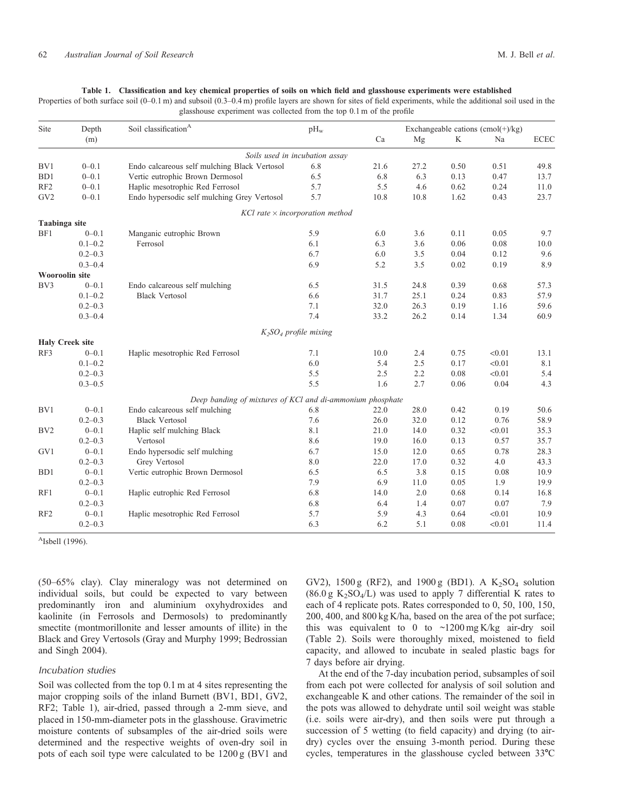#### **Table 1. Classification and key chemical properties of soils on which field and glasshouse experiments were established**

<span id="page-2-0"></span>Properties of both surface soil (0–0.1 m) and subsoil (0.3–0.4 m) profile layers are shown for sites of field experiments, while the additional soil used in the glasshouse experiment was collected from the top 0.1 m of the profile

| Site             | Depth                  | Soil classification <sup>A</sup>                          | pH <sub>w</sub>          |      | Exchangeable cations $(cmol(+)/kg)$ |      |        |             |  |  |
|------------------|------------------------|-----------------------------------------------------------|--------------------------|------|-------------------------------------|------|--------|-------------|--|--|
|                  | (m)                    |                                                           |                          | Ca   | Mg                                  | K    | Na     | <b>ECEC</b> |  |  |
|                  |                        | Soils used in incubation assay                            |                          |      |                                     |      |        |             |  |  |
| BV1              | $0 - 0.1$              | Endo calcareous self mulching Black Vertosol              | 6.8                      | 21.6 | 27.2                                | 0.50 | 0.51   | 49.8        |  |  |
| B <sub>D</sub> 1 | $0 - 0.1$              | Vertic eutrophic Brown Dermosol                           | 6.5                      | 6.8  | 6.3                                 | 0.13 | 0.47   | 13.7        |  |  |
| RF <sub>2</sub>  | $0 - 0.1$              | Haplic mesotrophic Red Ferrosol                           | 5.7                      | 5.5  | 4.6                                 | 0.62 | 0.24   | 11.0        |  |  |
| GV <sub>2</sub>  | $0 - 0.1$              | Endo hypersodic self mulching Grey Vertosol               | 5.7                      | 10.8 | 10.8                                | 1.62 | 0.43   | 23.7        |  |  |
|                  |                        | $KCl$ rate $\times$ incorporation method                  |                          |      |                                     |      |        |             |  |  |
| Taabinga site    |                        |                                                           |                          |      |                                     |      |        |             |  |  |
| BF1              | $0 - 0.1$              | Manganic eutrophic Brown                                  | 5.9                      | 6.0  | 3.6                                 | 0.11 | 0.05   | 9.7         |  |  |
|                  | $0.1 - 0.2$            | Ferrosol                                                  | 6.1                      | 6.3  | 3.6                                 | 0.06 | 0.08   | 10.0        |  |  |
|                  | $0.2 - 0.3$            |                                                           | 6.7                      | 6.0  | 3.5                                 | 0.04 | 0.12   | 9.6         |  |  |
|                  | $0.3 - 0.4$            |                                                           | 6.9                      | 5.2  | 3.5                                 | 0.02 | 0.19   | 8.9         |  |  |
|                  | <b>Wooroolin site</b>  |                                                           |                          |      |                                     |      |        |             |  |  |
| BV3              | $0 - 0.1$              | Endo calcareous self mulching                             | 6.5                      | 31.5 | 24.8                                | 0.39 | 0.68   | 57.3        |  |  |
|                  | $0.1 - 0.2$            | <b>Black Vertosol</b>                                     | 6.6                      | 31.7 | 25.1                                | 0.24 | 0.83   | 57.9        |  |  |
|                  | $0.2 - 0.3$            |                                                           | 7.1                      | 32.0 | 26.3                                | 0.19 | 1.16   | 59.6        |  |  |
|                  | $0.3 - 0.4$            |                                                           | 7.4                      | 33.2 | 26.2                                | 0.14 | 1.34   | 60.9        |  |  |
|                  |                        |                                                           | $K_2SO_4$ profile mixing |      |                                     |      |        |             |  |  |
|                  | <b>Haly Creek site</b> |                                                           |                          |      |                                     |      |        |             |  |  |
| RF3              | $0 - 0.1$              | Haplic mesotrophic Red Ferrosol                           | 7.1                      | 10.0 | 2.4                                 | 0.75 | < 0.01 | 13.1        |  |  |
|                  | $0.1 - 0.2$            |                                                           | 6.0                      | 5.4  | 2.5                                 | 0.17 | < 0.01 | 8.1         |  |  |
|                  | $0.2 - 0.3$            |                                                           | 5.5                      | 2.5  | 2.2                                 | 0.08 | < 0.01 | 5.4         |  |  |
|                  | $0.3 - 0.5$            |                                                           | 5.5                      | 1.6  | 2.7                                 | 0.06 | 0.04   | 4.3         |  |  |
|                  |                        | Deep banding of mixtures of KCl and di-ammonium phosphate |                          |      |                                     |      |        |             |  |  |
| BV1              | $0 - 0.1$              | Endo calcareous self mulching                             | 6.8                      | 22.0 | 28.0                                | 0.42 | 0.19   | 50.6        |  |  |
|                  | $0.2 - 0.3$            | <b>Black Vertosol</b>                                     | 7.6                      | 26.0 | 32.0                                | 0.12 | 0.76   | 58.9        |  |  |
| BV <sub>2</sub>  | $0 - 0.1$              | Haplic self mulching Black                                | 8.1                      | 21.0 | 14.0                                | 0.32 | < 0.01 | 35.3        |  |  |
|                  | $0.2 - 0.3$            | Vertosol                                                  | 8.6                      | 19.0 | 16.0                                | 0.13 | 0.57   | 35.7        |  |  |
| GV1              | $0 - 0.1$              | Endo hypersodic self mulching                             | 6.7                      | 15.0 | 12.0                                | 0.65 | 0.78   | 28.3        |  |  |
|                  | $0.2 - 0.3$            | Grey Vertosol                                             | 8.0                      | 22.0 | 17.0                                | 0.32 | 4.0    | 43.3        |  |  |
| B <sub>D</sub> 1 | $0 - 0.1$              | Vertic eutrophic Brown Dermosol                           | 6.5                      | 6.5  | 3.8                                 | 0.15 | 0.08   | 10.9        |  |  |
|                  | $0.2 - 0.3$            |                                                           | 7.9                      | 6.9  | 11.0                                | 0.05 | 1.9    | 19.9        |  |  |
| RF1              | $0 - 0.1$              | Haplic eutrophic Red Ferrosol                             | 6.8                      | 14.0 | 2.0                                 | 0.68 | 0.14   | 16.8        |  |  |
|                  | $0.2 - 0.3$            |                                                           | 6.8                      | 6.4  | 1.4                                 | 0.07 | 0.07   | 7.9         |  |  |
| RF <sub>2</sub>  | $0 - 0.1$              | Haplic mesotrophic Red Ferrosol                           | 5.7                      | 5.9  | 4.3                                 | 0.64 | < 0.01 | 10.9        |  |  |
|                  | $0.2 - 0.3$            |                                                           | 6.3                      | 6.2  | 5.1                                 | 0.08 | < 0.01 | 11.4        |  |  |

 $A$ Isbell (1996).

(50–65% clay). Clay mineralogy was not determined on individual soils, but could be expected to vary between predominantly iron and aluminium oxyhydroxides and kaolinite (in Ferrosols and Dermosols) to predominantly smectite (montmorillonite and lesser amounts of illite) in the Black and Grey Vertosols [\(Gray and Murphy 1999](#page-13-0); [Bedrossian](#page-12-0) [and Singh 2004\)](#page-12-0).

#### *Incubation studies*

Soil was collected from the top 0.1 m at 4 sites representing the major cropping soils of the inland Burnett (BV1, BD1, GV2, RF2; Table 1), air-dried, passed through a 2-mm sieve, and placed in 150-mm-diameter pots in the glasshouse. Gravimetric moisture contents of subsamples of the air-dried soils were determined and the respective weights of oven-dry soil in pots of each soil type were calculated to be 1200 g (BV1 and

GV2), 1500 g (RF2), and 1900 g (BD1). A  $K_2SO_4$  solution  $(86.0 \text{ g } K_2SO_4/L)$  was used to apply 7 differential K rates to each of 4 replicate pots. Rates corresponded to 0, 50, 100, 150, 200, 400, and 800 kg K/ha, based on the area of the pot surface; this was equivalent to 0 to *~*1200 mg K/kg air-dry soil ([Table 2\)](#page-3-0). Soils were thoroughly mixed, moistened to field capacity, and allowed to incubate in sealed plastic bags for 7 days before air drying.

At the end of the 7-day incubation period, subsamples of soil from each pot were collected for analysis of soil solution and exchangeable K and other cations. The remainder of the soil in the pots was allowed to dehydrate until soil weight was stable (i.e. soils were air-dry), and then soils were put through a succession of 5 wetting (to field capacity) and drying (to airdry) cycles over the ensuing 3-month period. During these cycles, temperatures in the glasshouse cycled between  $33^{\circ}$ C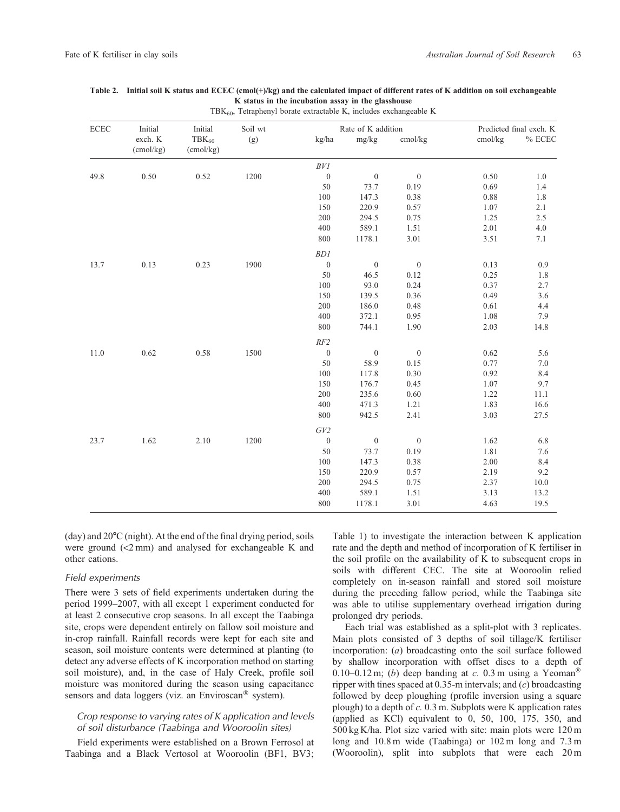| $\rm ECEC$ | Initial              | Initial                 | Soil wt |                  | Rate of K addition |                | Predicted final exch. K |           |  |
|------------|----------------------|-------------------------|---------|------------------|--------------------|----------------|-------------------------|-----------|--|
|            | exch. K<br>(cmol/kg) | $TBK_{60}$<br>(cmol/kg) | (g)     | kg/ha            | mg/kg              | cmol/kg        | cmol/kg                 | $\%$ ECEC |  |
|            |                      |                         |         | BVI              |                    |                |                         |           |  |
| 49.8       | 0.50                 | 0.52                    | 1200    | $\boldsymbol{0}$ | $\boldsymbol{0}$   | $\mathbf{0}$   | 0.50                    | 1.0       |  |
|            |                      |                         |         | 50               | 73.7               | 0.19           | 0.69                    | 1.4       |  |
|            |                      |                         |         | $100\,$          | 147.3              | 0.38           | 0.88                    | 1.8       |  |
|            |                      |                         |         | 150              | 220.9              | 0.57           | 1.07                    | 2.1       |  |
|            |                      |                         |         | 200              | 294.5              | 0.75           | 1.25                    | 2.5       |  |
|            |                      |                         |         | 400              | 589.1              | 1.51           | 2.01                    | 4.0       |  |
|            |                      |                         |         | 800              | 1178.1             | 3.01           | 3.51                    | 7.1       |  |
|            |                      |                         |         | BD1              |                    |                |                         |           |  |
| 13.7       | 0.13                 | 0.23                    | 1900    | $\boldsymbol{0}$ | $\boldsymbol{0}$   | $\overline{0}$ | 0.13                    | 0.9       |  |
|            |                      |                         |         | 50               | 46.5               | 0.12           | 0.25                    | 1.8       |  |
|            |                      |                         |         | 100              | 93.0               | 0.24           | 0.37                    | 2.7       |  |
|            |                      |                         |         | 150              | 139.5              | 0.36           | 0.49                    | 3.6       |  |
|            |                      |                         |         | 200              | 186.0              | 0.48           | 0.61                    | 4.4       |  |
|            |                      |                         |         | 400              | 372.1              | 0.95           | 1.08                    | 7.9       |  |
|            |                      |                         |         | 800              | 744.1              | 1.90           | 2.03                    | 14.8      |  |
|            |                      |                         |         | RF2              |                    |                |                         |           |  |
| 11.0       | 0.62                 | 0.58                    | 1500    | $\boldsymbol{0}$ | $\boldsymbol{0}$   | $\overline{0}$ | 0.62                    | 5.6       |  |
|            |                      |                         |         | 50               | 58.9               | 0.15           | 0.77                    | 7.0       |  |
|            |                      |                         |         | 100              | 117.8              | 0.30           | 0.92                    | 8.4       |  |
|            |                      |                         |         | 150              | 176.7              | 0.45           | 1.07                    | 9.7       |  |
|            |                      |                         |         | 200              | 235.6              | 0.60           | 1.22                    | 11.1      |  |
|            |                      |                         |         | 400              | 471.3              | 1.21           | 1.83                    | 16.6      |  |
|            |                      |                         |         | 800              | 942.5              | 2.41           | 3.03                    | 27.5      |  |
|            |                      |                         |         | GV2              |                    |                |                         |           |  |
| 23.7       | 1.62                 | 2.10                    | 1200    | $\boldsymbol{0}$ | $\boldsymbol{0}$   | $\overline{0}$ | 1.62                    | 6.8       |  |
|            |                      |                         |         | 50               | 73.7               | 0.19           | 1.81                    | 7.6       |  |
|            |                      |                         |         | $100\,$          | 147.3              | 0.38           | 2.00                    | 8.4       |  |
|            |                      |                         |         | 150              | 220.9              | 0.57           | 2.19                    | 9.2       |  |
|            |                      |                         |         | 200              | 294.5              | 0.75           | 2.37                    | 10.0      |  |
|            |                      |                         |         | 400              | 589.1              | 1.51           | 3.13                    | 13.2      |  |
|            |                      |                         |         | 800              | 1178.1             | 3.01           | 4.63                    | 19.5      |  |

### <span id="page-3-0"></span>**Table 2. Initial soil K status and ECEC (cmol(+)/kg) and the calculated impact of different rates of K addition on soil exchangeable K status in the incubation assay in the glasshouse**

TBK60, Tetraphenyl borate extractable K, includes exchangeable K

 $(\text{day})$  and  $20^{\circ}\text{C}$  (night). At the end of the final drying period, soils were ground (<2 mm) and analysed for exchangeable K and other cations.

## *Field experiments*

There were 3 sets of field experiments undertaken during the period 1999–2007, with all except 1 experiment conducted for at least 2 consecutive crop seasons. In all except the Taabinga site, crops were dependent entirely on fallow soil moisture and in-crop rainfall. Rainfall records were kept for each site and season, soil moisture contents were determined at planting (to detect any adverse effects of K incorporation method on starting soil moisture), and, in the case of Haly Creek, profile soil moisture was monitored during the season using capacitance sensors and data loggers (viz. an Enviroscan® system).

## *Crop response to varying rates of K application and levels of soil disturbance (Taabinga and Wooroolin sites)*

Field experiments were established on a Brown Ferrosol at Taabinga and a Black Vertosol at Wooroolin (BF1, BV3; [Table 1](#page-2-0)) to investigate the interaction between K application rate and the depth and method of incorporation of K fertiliser in the soil profile on the availability of K to subsequent crops in soils with different CEC. The site at Wooroolin relied completely on in-season rainfall and stored soil moisture during the preceding fallow period, while the Taabinga site was able to utilise supplementary overhead irrigation during prolonged dry periods.

Each trial was established as a split-plot with 3 replicates. Main plots consisted of 3 depths of soil tillage/K fertiliser incorporation: (*a*) broadcasting onto the soil surface followed by shallow incorporation with offset discs to a depth of 0.10–0.12 m; (*b*) deep banding at *c*. 0.3 m using a Yeoman<sup>®</sup> ripper with tines spaced at 0.35-m intervals; and (*c*) broadcasting followed by deep ploughing (profile inversion using a square plough) to a depth of *c.* 0.3 m. Subplots were K application rates (applied as KCl) equivalent to 0, 50, 100, 175, 350, and 500 kg K/ha. Plot size varied with site: main plots were 120 m long and 10.8 m wide (Taabinga) or 102 m long and 7.3 m (Wooroolin), split into subplots that were each 20 m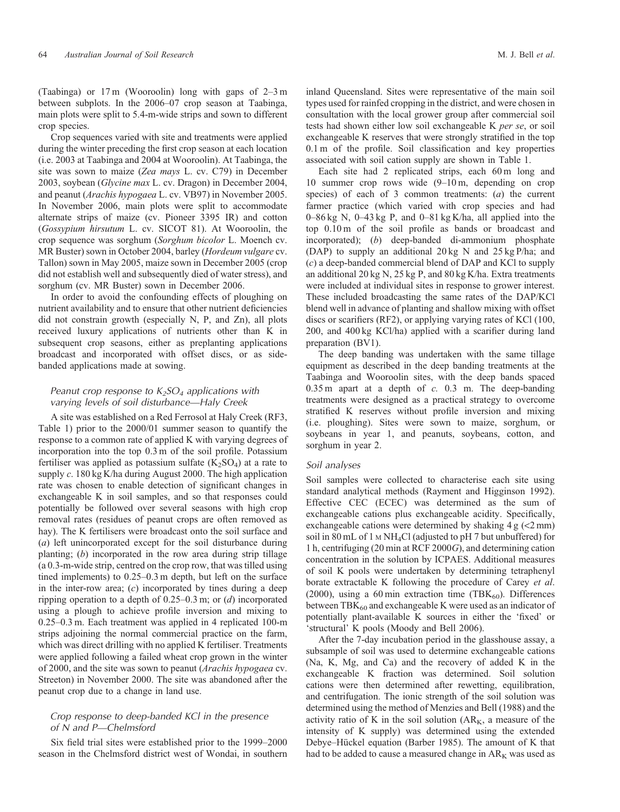(Taabinga) or 17 m (Wooroolin) long with gaps of 2–3 m between subplots. In the 2006–07 crop season at Taabinga, main plots were split to 5.4-m-wide strips and sown to different crop species.

Crop sequences varied with site and treatments were applied during the winter preceding the first crop season at each location (i.e. 2003 at Taabinga and 2004 at Wooroolin). At Taabinga, the site was sown to maize (*Zea mays* L. cv. C79) in December 2003, soybean (*Glycine max* L. cv. Dragon) in December 2004, and peanut (*Arachis hypogaea* L. cv. VB97) in November 2005. In November 2006, main plots were split to accommodate alternate strips of maize (cv. Pioneer 3395 IR) and cotton (*Gossypium hirsutum* L. cv. SICOT 81). At Wooroolin, the crop sequence was sorghum (*Sorghum bicolor* L. Moench cv. MR Buster) sown in October 2004, barley (*Hordeum vulgare* cv. Tallon) sown in May 2005, maize sown in December 2005 (crop did not establish well and subsequently died of water stress), and sorghum (cv. MR Buster) sown in December 2006.

In order to avoid the confounding effects of ploughing on nutrient availability and to ensure that other nutrient deficiencies did not constrain growth (especially N, P, and Zn), all plots received luxury applications of nutrients other than K in subsequent crop seasons, either as preplanting applications broadcast and incorporated with offset discs, or as sidebanded applications made at sowing.

# *Peanut crop response to K2SO4 applications with varying levels of soil disturbance—Haly Creek*

A site was established on a Red Ferrosol at Haly Creek (RF3, [Table 1\)](#page-2-0) prior to the 2000/01 summer season to quantify the response to a common rate of applied K with varying degrees of incorporation into the top 0.3 m of the soil profile. Potassium fertiliser was applied as potassium sulfate  $(K_2SO_4)$  at a rate to supply *c*. 180 kg K/ha during August 2000. The high application rate was chosen to enable detection of significant changes in exchangeable K in soil samples, and so that responses could potentially be followed over several seasons with high crop removal rates (residues of peanut crops are often removed as hay). The K fertilisers were broadcast onto the soil surface and (*a*) left unincorporated except for the soil disturbance during planting; (*b*) incorporated in the row area during strip tillage (a 0.3-m-wide strip, centred on the crop row, that was tilled using tined implements) to 0.25–0.3 m depth, but left on the surface in the inter-row area; (*c*) incorporated by tines during a deep ripping operation to a depth of 0.25–0.3 m; or (*d*) incorporated using a plough to achieve profile inversion and mixing to 0.25–0.3 m. Each treatment was applied in 4 replicated 100-m strips adjoining the normal commercial practice on the farm, which was direct drilling with no applied K fertiliser. Treatments were applied following a failed wheat crop grown in the winter of 2000, and the site was sown to peanut (*Arachis hypogaea* cv. Streeton) in November 2000. The site was abandoned after the peanut crop due to a change in land use.

## *Crop response to deep-banded KCl in the presence of N and P—Chelmsford*

Six field trial sites were established prior to the 1999–2000 season in the Chelmsford district west of Wondai, in southern inland Queensland. Sites were representative of the main soil types used for rainfed cropping in the district, and were chosen in consultation with the local grower group after commercial soil tests had shown either low soil exchangeable K *per se*, or soil exchangeable K reserves that were strongly stratified in the top 0.1 m of the profile. Soil classification and key properties associated with soil cation supply are shown in [Table 1](#page-2-0).

Each site had 2 replicated strips, each 60 m long and 10 summer crop rows wide (9–10 m, depending on crop species) of each of 3 common treatments: (*a*) the current farmer practice (which varied with crop species and had 0–86 kg N, 0–43 kg P, and 0–81 kg K/ha, all applied into the top 0.10 m of the soil profile as bands or broadcast and incorporated); (*b*) deep-banded di-ammonium phosphate (DAP) to supply an additional 20 kg N and 25 kg P/ha; and (*c*) a deep-banded commercial blend of DAP and KCl to supply an additional 20 kg N, 25 kg P, and 80 kg K/ha. Extra treatments were included at individual sites in response to grower interest. These included broadcasting the same rates of the DAP/KCl blend well in advance of planting and shallow mixing with offset discs or scarifiers (RF2), or applying varying rates of KCl (100, 200, and 400 kg KCl/ha) applied with a scarifier during land preparation (BV1).

The deep banding was undertaken with the same tillage equipment as described in the deep banding treatments at the Taabinga and Wooroolin sites, with the deep bands spaced 0.35 m apart at a depth of *c.* 0.3 m. The deep-banding treatments were designed as a practical strategy to overcome stratified K reserves without profile inversion and mixing (i.e. ploughing). Sites were sown to maize, sorghum, or soybeans in year 1, and peanuts, soybeans, cotton, and sorghum in year 2.

#### *Soil analyses*

Soil samples were collected to characterise each site using standard analytical methods [\(Rayment and Higginson 1992\)](#page-13-0). Effective CEC (ECEC) was determined as the sum of exchangeable cations plus exchangeable acidity. Specifically, exchangeable cations were determined by shaking  $4 \text{ g } (\textless 2 mm)$ soil in 80 mL of 1 M NH<sub>4</sub>Cl (adjusted to pH 7 but unbuffered) for 1 h, centrifuging (20 min at RCF 2000*G*), and determining cation concentration in the solution by ICPAES. Additional measures of soil K pools were undertaken by determining tetraphenyl borate extractable K following the procedure of [Carey](#page-12-0) *et al*. [\(2000\),](#page-12-0) using a 60 min extraction time (TB $K_{60}$ ). Differences between  $TBK_{60}$  and exchangeable K were used as an indicator of potentially plant-available K sources in either the 'fixed' or 'structural' K pools [\(Moody and Bell 2006\)](#page-13-0).

After the 7-day incubation period in the glasshouse assay, a subsample of soil was used to determine exchangeable cations (Na, K, Mg, and Ca) and the recovery of added K in the exchangeable K fraction was determined. Soil solution cations were then determined after rewetting, equilibration, and centrifugation. The ionic strength of the soil solution was determined using the method of [Menzies and Bell \(1988\)](#page-13-0) and the activity ratio of K in the soil solution  $(AR_K, a$  measure of the intensity of K supply) was determined using the extended Debye–Hückel equation [\(Barber 1985\)](#page-12-0). The amount of K that had to be added to cause a measured change in  $AR_K$  was used as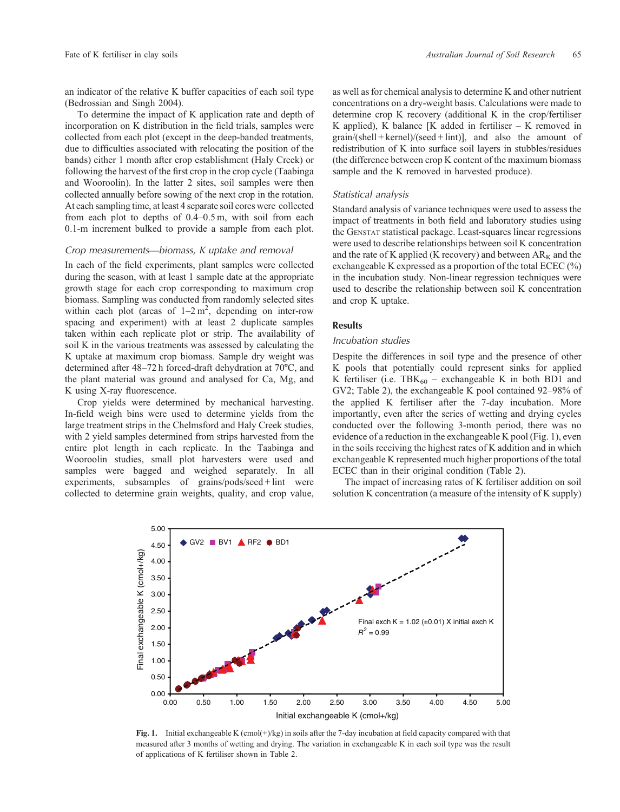<span id="page-5-0"></span>an indicator of the relative K buffer capacities of each soil type [\(Bedrossian and Singh 2004](#page-12-0)).

To determine the impact of K application rate and depth of incorporation on K distribution in the field trials, samples were collected from each plot (except in the deep-banded treatments, due to difficulties associated with relocating the position of the bands) either 1 month after crop establishment (Haly Creek) or following the harvest of the first crop in the crop cycle (Taabinga and Wooroolin). In the latter 2 sites, soil samples were then collected annually before sowing of the next crop in the rotation. At each sampling time, at least 4 separate soil cores were collected from each plot to depths of 0.4–0.5 m, with soil from each 0.1-m increment bulked to provide a sample from each plot.

#### *Crop measurements—biomass, K uptake and removal*

In each of the field experiments, plant samples were collected during the season, with at least 1 sample date at the appropriate growth stage for each crop corresponding to maximum crop biomass. Sampling was conducted from randomly selected sites within each plot (areas of  $1-2 m^2$ , depending on inter-row spacing and experiment) with at least 2 duplicate samples taken within each replicate plot or strip. The availability of soil K in the various treatments was assessed by calculating the K uptake at maximum crop biomass. Sample dry weight was determined after  $48-72$  h forced-draft dehydration at  $70^{\circ}$ C, and the plant material was ground and analysed for Ca, Mg, and K using X-ray fluorescence.

Crop yields were determined by mechanical harvesting. In-field weigh bins were used to determine yields from the large treatment strips in the Chelmsford and Haly Creek studies, with 2 yield samples determined from strips harvested from the entire plot length in each replicate. In the Taabinga and Wooroolin studies, small plot harvesters were used and samples were bagged and weighed separately. In all experiments, subsamples of grains/pods/seed + lint were collected to determine grain weights, quality, and crop value, as well as for chemical analysis to determine K and other nutrient concentrations on a dry-weight basis. Calculations were made to determine crop K recovery (additional K in the crop/fertiliser K applied), K balance  $[K$  added in fertiliser – K removed in  $grain/(shell + kernel)/(seed + limit)$ ], and also the amount of redistribution of K into surface soil layers in stubbles/residues (the difference between crop K content of the maximum biomass sample and the K removed in harvested produce).

#### *Statistical analysis*

Standard analysis of variance techniques were used to assess the impact of treatments in both field and laboratory studies using the GENSTAT statistical package. Least-squares linear regressions were used to describe relationships between soil K concentration and the rate of K applied (K recovery) and between  $AR_K$  and the exchangeable K expressed as a proportion of the total ECEC (%) in the incubation study. Non-linear regression techniques were used to describe the relationship between soil K concentration and crop K uptake.

## **Results**

## *Incubation studies*

Despite the differences in soil type and the presence of other K pools that potentially could represent sinks for applied K fertiliser (i.e.  $TBK_{60}$  – exchangeable K in both BD1 and GV2; [Table 2\)](#page-3-0), the exchangeable K pool contained 92–98% of the applied K fertiliser after the 7-day incubation. More importantly, even after the series of wetting and drying cycles conducted over the following 3-month period, there was no evidence of a reduction in the exchangeable K pool (Fig. 1), even in the soils receiving the highest rates of K addition and in which exchangeable K represented much higher proportions of the total ECEC than in their original condition [\(Table 2\)](#page-3-0).

The impact of increasing rates of K fertiliser addition on soil solution K concentration (a measure of the intensity of K supply)



**Fig. 1.** Initial exchangeable K (cmol(+)/kg) in soils after the 7-day incubation at field capacity compared with that measured after 3 months of wetting and drying. The variation in exchangeable K in each soil type was the result of applications of K fertiliser shown in [Table 2.](#page-3-0)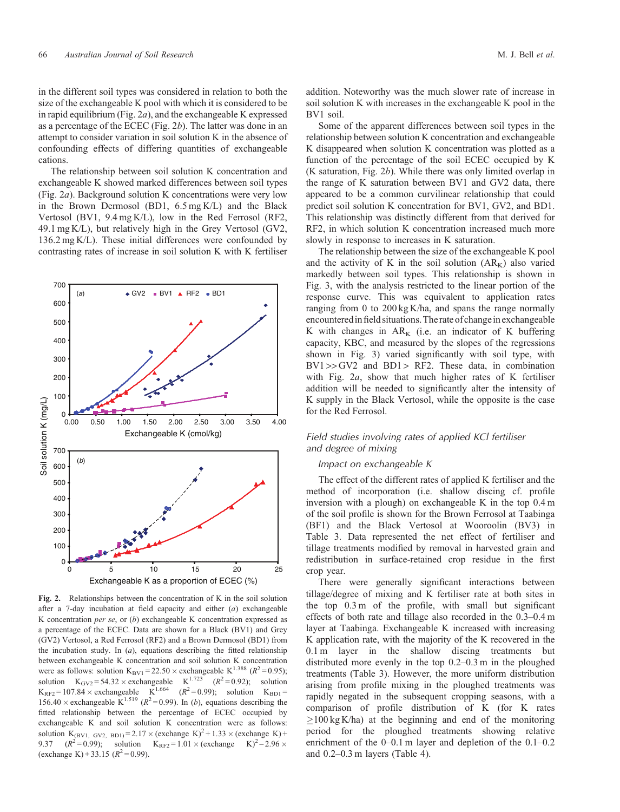<span id="page-6-0"></span>in the different soil types was considered in relation to both the size of the exchangeable K pool with which it is considered to be in rapid equilibrium (Fig. 2*a*), and the exchangeable K expressed as a percentage of the ECEC (Fig. 2*b*). The latter was done in an attempt to consider variation in soil solution K in the absence of confounding effects of differing quantities of exchangeable cations.

The relationship between soil solution K concentration and exchangeable K showed marked differences between soil types (Fig. 2*a*). Background solution K concentrations were very low in the Brown Dermosol (BD1, 6.5 mg K/L) and the Black Vertosol (BV1, 9.4 mg K/L), low in the Red Ferrosol (RF2, 49.1 mg K/L), but relatively high in the Grey Vertosol (GV2, 136.2 mg K/L). These initial differences were confounded by contrasting rates of increase in soil solution K with K fertiliser



**Fig. 2.** Relationships between the concentration of K in the soil solution after a 7-day incubation at field capacity and either (*a*) exchangeable K concentration *per se*, or (*b*) exchangeable K concentration expressed as a percentage of the ECEC. Data are shown for a Black (BV1) and Grey (GV2) Vertosol, a Red Ferrosol (RF2) and a Brown Dermosol (BD1) from the incubation study. In (*a*), equations describing the fitted relationship between exchangeable K concentration and soil solution K concentration were as follows: solution  $K_{\text{BV1}} = 22.50 \times \text{exchangeable K}^{1.388}$  ( $R^2 = 0.95$ ); solution  $K_{\text{GV2}} = 54.32 \times \text{exchangeable}$   $K^{1.723}$   $(R^2 = 0.92)$ ; solution  $K_{RF2} = 107.84 \times$  exchangeable  $K^{1.664}$   $(R^2 = 0.99)$ ; solution  $K_{BD1} =$ 156.40  $\times$  exchangeable K<sup>1.519</sup> ( $R^2$ =0.99). In (*b*), equations describing the fitted relationship between the percentage of ECEC occupied by exchangeable K and soil solution K concentration were as follows: solution K<sub>(BV1, GV2, BD1)</sub> = 2.17  $\times$  (exchange K)<sup>2</sup> + 1.33  $\times$  (exchange K)<sup>2</sup> + 9.37 ( $R^2$  = 0.99); solution K<sub>pF2</sub> = 1.01  $\times$  (exchange K)<sup>2</sup> – 2.96  $\times$  $(R^2 = 0.99)$ ; solution K<sub>RF2</sub> = 1.01 × (exchange K)<sup>2</sup> – 2.96 × (exchange K) + 33.15 ( $R^2$  = 0.99).

addition. Noteworthy was the much slower rate of increase in soil solution K with increases in the exchangeable K pool in the BV1 soil.

Some of the apparent differences between soil types in the relationship between solution K concentration and exchangeable K disappeared when solution K concentration was plotted as a function of the percentage of the soil ECEC occupied by K (K saturation, Fig. 2*b*). While there was only limited overlap in the range of K saturation between BV1 and GV2 data, there appeared to be a common curvilinear relationship that could predict soil solution K concentration for BV1, GV2, and BD1. This relationship was distinctly different from that derived for RF2, in which solution K concentration increased much more slowly in response to increases in K saturation.

The relationship between the size of the exchangeable K pool and the activity of K in the soil solution  $(AR_K)$  also varied markedly between soil types. This relationship is shown in [Fig. 3,](#page-7-0) with the analysis restricted to the linear portion of the response curve. This was equivalent to application rates ranging from 0 to 200 kg K/ha, and spans the range normally encountered in field situations. The rate of change in exchangeable K with changes in  $AR_K$  (i.e. an indicator of K buffering capacity, KBC, and measured by the slopes of the regressions shown in [Fig. 3\)](#page-7-0) varied significantly with soil type, with  $BV1 > > GV2$  and  $BD1 > RF2$ . These data, in combination with Fig. 2*a*, show that much higher rates of K fertiliser addition will be needed to significantly alter the intensity of K supply in the Black Vertosol, while the opposite is the case for the Red Ferrosol.

# *Field studies involving rates of applied KCl fertiliser and degree of mixing*

## *Impact on exchangeable K*

The effect of the different rates of applied K fertiliser and the method of incorporation (i.e. shallow discing cf. profile inversion with a plough) on exchangeable K in the top 0.4 m of the soil profile is shown for the Brown Ferrosol at Taabinga (BF1) and the Black Vertosol at Wooroolin (BV3) in [Table 3.](#page-7-0) Data represented the net effect of fertiliser and tillage treatments modified by removal in harvested grain and redistribution in surface-retained crop residue in the first crop year.

There were generally significant interactions between tillage/degree of mixing and K fertiliser rate at both sites in the top 0.3 m of the profile, with small but significant effects of both rate and tillage also recorded in the 0.3–0.4 m layer at Taabinga. Exchangeable K increased with increasing K application rate, with the majority of the K recovered in the 0.1 m layer in the shallow discing treatments but distributed more evenly in the top 0.2–0.3 m in the ploughed treatments [\(Table 3\)](#page-7-0). However, the more uniform distribution arising from profile mixing in the ploughed treatments was rapidly negated in the subsequent cropping seasons, with a comparison of profile distribution of K (for K rates  $\geq$ 100 kg K/ha) at the beginning and end of the monitoring period for the ploughed treatments showing relative enrichment of the 0–0.1 m layer and depletion of the 0.1–0.2 and 0.2–0.3 m layers ([Table 4\)](#page-8-0).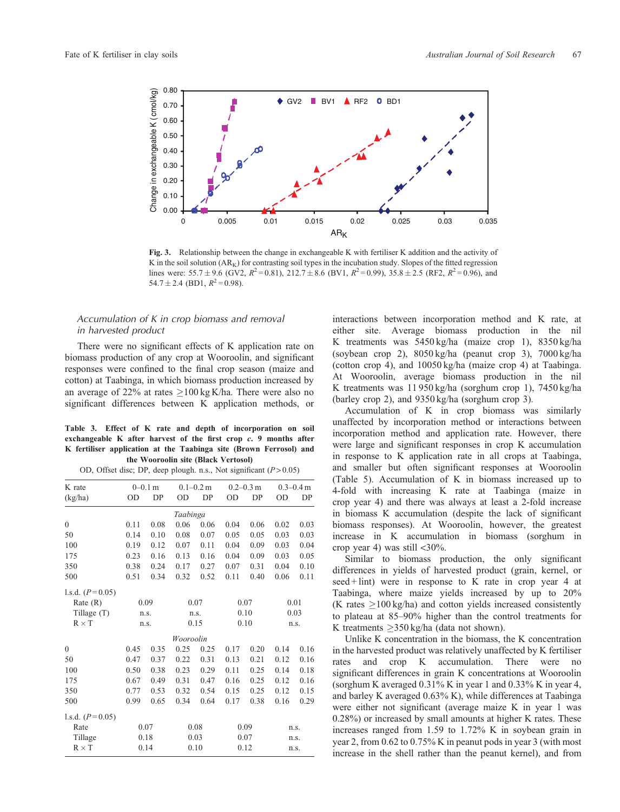<span id="page-7-0"></span>

**Fig. 3.** Relationship between the change in exchangeable K with fertiliser K addition and the activity of K in the soil solution  $(AR_K)$  for contrasting soil types in the incubation study. Slopes of the fitted regression lines were:  $55.7 \pm 9.6$  (GV2,  $R^2 = 0.81$ ),  $212.7 \pm 8.6$  (BV1,  $R^2 = 0.99$ ),  $35.8 \pm 2.5$  (RF2,  $R^2 = 0.96$ ), and 54.7  $\pm$  2.4 (BD1,  $R^2$ = 0.98).

# *Accumulation of K in crop biomass and removal in harvested product*

There were no significant effects of K application rate on biomass production of any crop at Wooroolin, and significant responses were confined to the final crop season (maize and cotton) at Taabinga, in which biomass production increased by an average of 22% at rates  $>100 \text{ kg K/ha}$ . There were also no significant differences between K application methods, or

#### **Table 3. Effect of K rate and depth of incorporation on soil exchangeable K after harvest of the first crop** *c***. 9 months after K fertiliser application at the Taabinga site (Brown Ferrosol) and the Wooroolin site (Black Vertosol)**

| K rate            | $0 - 0.1$ m |      | $0.1 - 0.2$ m |      | $0.2 - 0.3$ m |      | $0.3 - 0.4$ m |      |  |  |
|-------------------|-------------|------|---------------|------|---------------|------|---------------|------|--|--|
| (kg/ha)           | <b>OD</b>   | DP   | <b>OD</b>     | DP   | <b>OD</b>     | DP   | <b>OD</b>     | DP   |  |  |
| Taabinga          |             |      |               |      |               |      |               |      |  |  |
| $\overline{0}$    | 0.11        | 0.08 | 0.06          | 0.06 | 0.04          | 0.06 | 0.02          | 0.03 |  |  |
| 50                | 0.14        | 0.10 | 0.08          | 0.07 | 0.05          | 0.05 | 0.03          | 0.03 |  |  |
| 100               | 0.19        | 0.12 | 0.07          | 0.11 | 0.04          | 0.09 | 0.03          | 0.04 |  |  |
| 175               | 0.23        | 0.16 | 0.13          | 0.16 | 0.04          | 0.09 | 0.03          | 0.05 |  |  |
| 350               | 0.38        | 0.24 | 0.17          | 0.27 | 0.07          | 0.31 | 0.04          | 0.10 |  |  |
| 500               | 0.51        | 0.34 | 0.32          | 0.52 | 0.11          | 0.40 | 0.06          | 0.11 |  |  |
| 1.s.d. $(P=0.05)$ |             |      |               |      |               |      |               |      |  |  |
| Rate(R)           | 0.09        |      | 0.07          |      | 0.07          |      | 0.01          |      |  |  |
| Tillage (T)       | n.s.        |      | n.s.          |      | 0.10          |      | 0.03          |      |  |  |
| $R \times T$      |             | n.s. | 0.15          |      | 0.10          |      | n.s.          |      |  |  |
|                   |             |      | Wooroolin     |      |               |      |               |      |  |  |
| $\Omega$          | 0.45        | 0.35 | 0.25          | 0.25 | 0.17          | 0.20 | 0.14          | 0.16 |  |  |
| 50                | 0.47        | 0.37 | 0.22          | 0.31 | 0.13          | 0.21 | 0.12          | 0.16 |  |  |
| 100               | 0.50        | 0.38 | 0.23          | 0.29 | 0.11          | 0.25 | 0.14          | 0.18 |  |  |
| 175               | 0.67        | 0.49 | 0.31          | 0.47 | 0.16          | 0.25 | 0.12          | 0.16 |  |  |
| 350               | 0.77        | 0.53 | 0.32          | 0.54 | 0.15          | 0.25 | 0.12          | 0.15 |  |  |
| 500               | 0.99        | 0.65 | 0.34          | 0.64 | 0.17          | 0.38 | 0.16          | 0.29 |  |  |
| 1.s.d. $(P=0.05)$ |             |      |               |      |               |      |               |      |  |  |
| Rate              |             | 0.07 | 0.08          |      | 0.09          |      | n.s.          |      |  |  |
| Tillage           |             | 0.18 |               | 0.03 | 0.07          |      | n.s.          |      |  |  |
| $R \times T$      |             | 0.14 | 0.10          |      | 0.12          |      |               | n.s. |  |  |

interactions between incorporation method and K rate, at either site. Average biomass production in the nil K treatments was 5450 kg/ha (maize crop 1), 8350 kg/ha (soybean crop 2), 8050 kg/ha (peanut crop 3), 7000 kg/ha (cotton crop 4), and 10050 kg/ha (maize crop 4) at Taabinga. At Wooroolin, average biomass production in the nil K treatments was 11 950 kg/ha (sorghum crop 1), 7450 kg/ha (barley crop 2), and 9350 kg/ha (sorghum crop 3).

Accumulation of K in crop biomass was similarly unaffected by incorporation method or interactions between incorporation method and application rate. However, there were large and significant responses in crop K accumulation in response to K application rate in all crops at Taabinga, and smaller but often significant responses at Wooroolin [\(Table 5\)](#page-8-0). Accumulation of K in biomass increased up to 4-fold with increasing K rate at Taabinga (maize in crop year 4) and there was always at least a 2-fold increase in biomass K accumulation (despite the lack of significant biomass responses). At Wooroolin, however, the greatest increase in K accumulation in biomass (sorghum in crop year 4) was still <30%.

Similar to biomass production, the only significant differences in yields of harvested product (grain, kernel, or seed + lint) were in response to K rate in crop year 4 at Taabinga, where maize yields increased by up to 20% (K rates  $\geq 100$  kg/ha) and cotton yields increased consistently to plateau at 85–90% higher than the control treatments for K treatments  $>350 \text{ kg/ha}$  (data not shown).

Unlike K concentration in the biomass, the K concentration in the harvested product was relatively unaffected by K fertiliser rates and crop K accumulation. There were no significant differences in grain K concentrations at Wooroolin (sorghum K averaged 0.31% K in year 1 and 0.33% K in year 4, and barley K averaged 0.63% K), while differences at Taabinga were either not significant (average maize K in year 1 was 0.28%) or increased by small amounts at higher K rates. These increases ranged from 1.59 to 1.72% K in soybean grain in year 2, from 0.62 to 0.75% K in peanut pods in year 3 (with most increase in the shell rather than the peanut kernel), and from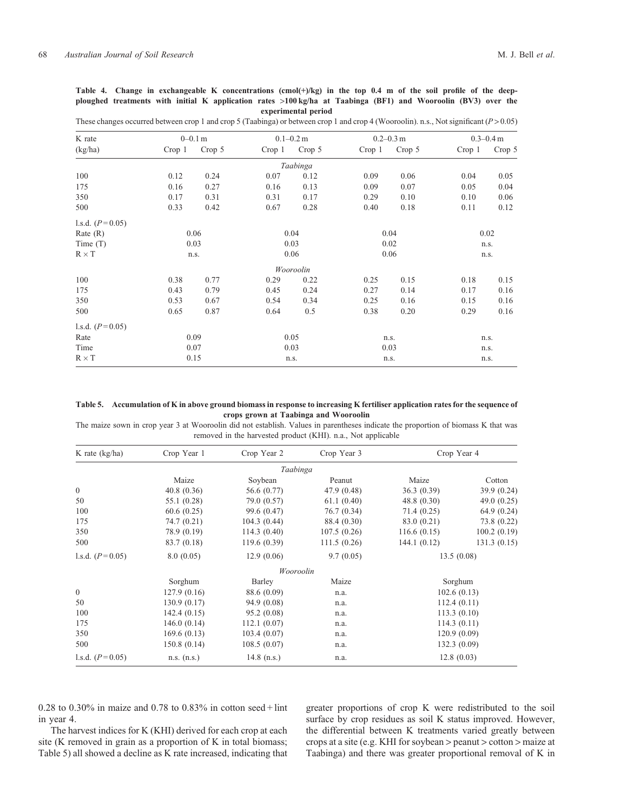<span id="page-8-0"></span>Table 4. Change in exchangeable K concentrations (cmol(+)/kg) in the top 0.4 m of the soil profile of the deep**ploughed treatments with initial K application rates** >**100 kg/ha at Taabinga (BF1) and Wooroolin (BV3) over the experimental period**

| These changes occurred between crop 1 and crop 5 (Taabinga) or between crop 1 and crop 4 (Wooroolin). n.s., Not significant ( $P > 0.05$ ) |
|--------------------------------------------------------------------------------------------------------------------------------------------|
|                                                                                                                                            |

| K rate            | $0 - 0.1$ m |        |        | $0.1 - 0.2$ m |        | $0.2 - 0.3$ m | $0.3 - 0.4$ m |        |
|-------------------|-------------|--------|--------|---------------|--------|---------------|---------------|--------|
| (kg/ha)           | Crop 1      | Crop 5 | Crop 1 | Crop 5        | Crop 1 | Crop 5        | Crop 1        | Crop 5 |
|                   |             |        |        | Taabinga      |        |               |               |        |
| 100               | 0.12        | 0.24   | 0.07   | 0.12          | 0.09   | 0.06          | 0.04          | 0.05   |
| 175               | 0.16        | 0.27   | 0.16   | 0.13          | 0.09   | 0.07          | 0.05          | 0.04   |
| 350               | 0.17        | 0.31   | 0.31   | 0.17          | 0.29   | 0.10          | 0.10          | 0.06   |
| 500               | 0.33        | 0.42   | 0.67   | 0.28          | 0.40   | 0.18          | 0.11          | 0.12   |
| 1.s.d. $(P=0.05)$ |             |        |        |               |        |               |               |        |
| Rate $(R)$        |             | 0.06   |        | 0.04          |        | 0.04          |               | 0.02   |
| Time $(T)$        |             | 0.03   |        | 0.03          |        | 0.02          |               | n.s.   |
| $R \times T$      |             | n.s.   |        | 0.06          |        | 0.06          |               | n.s.   |
|                   |             |        |        | Wooroolin     |        |               |               |        |
| 100               | 0.38        | 0.77   | 0.29   | 0.22          | 0.25   | 0.15          | 0.18          | 0.15   |
| 175               | 0.43        | 0.79   | 0.45   | 0.24          | 0.27   | 0.14          | 0.17          | 0.16   |
| 350               | 0.53        | 0.67   | 0.54   | 0.34          | 0.25   | 0.16          | 0.15          | 0.16   |
| 500               | 0.65        | 0.87   | 0.64   | 0.5           | 0.38   | 0.20          | 0.29          | 0.16   |
| 1.s.d. $(P=0.05)$ |             |        |        |               |        |               |               |        |
| Rate              |             | 0.09   |        | 0.05          |        | n.s.          |               | n.s.   |
| Time              |             | 0.07   |        | 0.03          |        | 0.03          |               | n.s.   |
| $R \times T$      |             | 0.15   |        | n.s.          |        | n.s.          |               | n.s.   |

**Table 5. Accumulation of K in above ground biomass in response to increasing K fertiliser application rates for the sequence of crops grown at Taabinga and Wooroolin**

The maize sown in crop year 3 at Wooroolin did not establish. Values in parentheses indicate the proportion of biomass K that was removed in the harvested product (KHI). n.a., Not applicable

| K rate $(kg/ha)$  | Crop Year 1 | Crop Year 2   | Crop Year 3 |             | Crop Year 4   |
|-------------------|-------------|---------------|-------------|-------------|---------------|
|                   |             | Taabinga      |             |             |               |
|                   | Maize       | Soybean       | Peanut      | Maize       | Cotton        |
| $\mathbf{0}$      | 40.8(0.36)  | 56.6 (0.77)   | 47.9 (0.48) | 36.3 (0.39) | 39.9(0.24)    |
| 50                | 55.1 (0.28) | 79.0 (0.57)   | 61.1(0.40)  | 48.8(0.30)  | 49.0 $(0.25)$ |
| 100               | 60.6(0.25)  | 99.6 (0.47)   | 76.7 (0.34) | 71.4(0.25)  | 64.9(0.24)    |
| 175               | 74.7(0.21)  | 104.3(0.44)   | 88.4 (0.30) | 83.0 (0.21) | 73.8 (0.22)   |
| 350               | 78.9 (0.19) | 114.3 (0.40)  | 107.5(0.26) | 116.6(0.15) | 100.2(0.19)   |
| 500               | 83.7 (0.18) | 119.6 (0.39)  | 111.5(0.26) | 144.1(0.12) | 131.3(0.15)   |
| 1.s.d. $(P=0.05)$ | 8.0(0.05)   | 12.9(0.06)    | 9.7(0.05)   | 13.5(0.08)  |               |
|                   |             | Wooroolin     |             |             |               |
|                   | Sorghum     | Barley        | Maize       |             | Sorghum       |
| $\overline{0}$    | 127.9(0.16) | 88.6 (0.09)   | n.a.        |             | 102.6(0.13)   |
| 50                | 130.9(0.17) | 94.9(0.08)    | n.a.        |             | 112.4(0.11)   |
| 100               | 142.4(0.15) | 95.2(0.08)    | n.a.        |             | 113.3(0.10)   |
| 175               | 146.0(0.14) | 112.1(0.07)   | n.a.        |             | 114.3(0.11)   |
| 350               | 169.6(0.13) | 103.4(0.07)   | n.a.        |             | 120.9(0.09)   |
| 500               | 150.8(0.14) | 108.5(0.07)   | n.a.        |             | 132.3(0.09)   |
| 1.s.d. $(P=0.05)$ | n.s. (n.s.) | 14.8 $(n.s.)$ | n.a.        |             | 12.8(0.03)    |

0.28 to 0.30% in maize and 0.78 to 0.83% in cotton seed + lint in year 4.

The harvest indices for K (KHI) derived for each crop at each site (K removed in grain as a proportion of K in total biomass; Table 5) all showed a decline as K rate increased, indicating that

greater proportions of crop K were redistributed to the soil surface by crop residues as soil K status improved. However, the differential between K treatments varied greatly between crops at a site (e.g. KHI for soybean > peanut > cotton > maize at Taabinga) and there was greater proportional removal of K in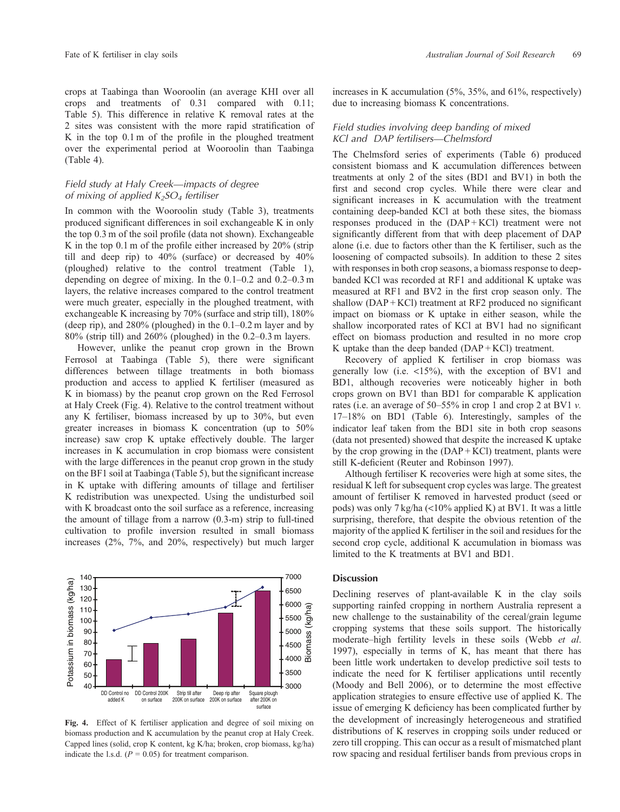<span id="page-9-0"></span>crops at Taabinga than Wooroolin (an average KHI over all crops and treatments of 0.31 compared with 0.11; [Table 5\)](#page-8-0). This difference in relative K removal rates at the 2 sites was consistent with the more rapid stratification of K in the top 0.1 m of the profile in the ploughed treatment over the experimental period at Wooroolin than Taabinga [\(Table 4\)](#page-8-0).

# *Field study at Haly Creek—impacts of degree of mixing of applied K2SO4 fertiliser*

In common with the Wooroolin study [\(Table 3\)](#page-7-0), treatments produced significant differences in soil exchangeable K in only the top 0.3 m of the soil profile (data not shown). Exchangeable K in the top 0.1 m of the profile either increased by 20% (strip till and deep rip) to 40% (surface) or decreased by 40% (ploughed) relative to the control treatment [\(Table 1](#page-2-0)), depending on degree of mixing. In the 0.1–0.2 and 0.2–0.3 m layers, the relative increases compared to the control treatment were much greater, especially in the ploughed treatment, with exchangeable K increasing by 70% (surface and strip till), 180% (deep rip), and 280% (ploughed) in the 0.1–0.2 m layer and by 80% (strip till) and 260% (ploughed) in the 0.2–0.3 m layers.

However, unlike the peanut crop grown in the Brown Ferrosol at Taabinga [\(Table 5](#page-8-0)), there were significant differences between tillage treatments in both biomass production and access to applied K fertiliser (measured as K in biomass) by the peanut crop grown on the Red Ferrosol at Haly Creek (Fig. 4). Relative to the control treatment without any K fertiliser, biomass increased by up to 30%, but even greater increases in biomass K concentration (up to 50% increase) saw crop K uptake effectively double. The larger increases in K accumulation in crop biomass were consistent with the large differences in the peanut crop grown in the study on the BF1 soil at Taabinga [\(Table 5\)](#page-8-0), but the significant increase in K uptake with differing amounts of tillage and fertiliser K redistribution was unexpected. Using the undisturbed soil with K broadcast onto the soil surface as a reference, increasing the amount of tillage from a narrow (0.3-m) strip to full-tined cultivation to profile inversion resulted in small biomass increases (2%, 7%, and 20%, respectively) but much larger



**Fig. 4.** Effect of K fertiliser application and degree of soil mixing on biomass production and K accumulation by the peanut crop at Haly Creek. Capped lines (solid, crop K content, kg K/ha; broken, crop biomass, kg/ha) indicate the l.s.d.  $(P = 0.05)$  for treatment comparison.

increases in K accumulation (5%, 35%, and 61%, respectively) due to increasing biomass K concentrations.

# *Field studies involving deep banding of mixed KCl and DAP fertilisers—Chelmsford*

The Chelmsford series of experiments [\(Table 6\)](#page-10-0) produced consistent biomass and K accumulation differences between treatments at only 2 of the sites (BD1 and BV1) in both the first and second crop cycles. While there were clear and significant increases in K accumulation with the treatment containing deep-banded KCl at both these sites, the biomass responses produced in the (DAP + KCl) treatment were not significantly different from that with deep placement of DAP alone (i.e. due to factors other than the K fertiliser, such as the loosening of compacted subsoils). In addition to these 2 sites with responses in both crop seasons, a biomass response to deepbanded KCl was recorded at RF1 and additional K uptake was measured at RF1 and BV2 in the first crop season only. The shallow (DAP + KCl) treatment at RF2 produced no significant impact on biomass or K uptake in either season, while the shallow incorporated rates of KCl at BV1 had no significant effect on biomass production and resulted in no more crop K uptake than the deep banded  $(DAP + KCI)$  treatment.

Recovery of applied K fertiliser in crop biomass was generally low (i.e. <15%), with the exception of BV1 and BD1, although recoveries were noticeably higher in both crops grown on BV1 than BD1 for comparable K application rates (i.e. an average of 50–55% in crop 1 and crop 2 at BV1 *v.* 17–18% on BD1 ([Table 6\)](#page-10-0). Interestingly, samples of the indicator leaf taken from the BD1 site in both crop seasons (data not presented) showed that despite the increased K uptake by the crop growing in the  $(DAP + KCI)$  treatment, plants were still K-deficient ([Reuter and Robinson 1997\)](#page-13-0).

Although fertiliser K recoveries were high at some sites, the residual K left for subsequent crop cycles was large. The greatest amount of fertiliser K removed in harvested product (seed or pods) was only 7 kg/ha (<10% applied K) at BV1. It was a little surprising, therefore, that despite the obvious retention of the majority of the applied K fertiliser in the soil and residues for the second crop cycle, additional K accumulation in biomass was limited to the K treatments at BV1 and BD1.

## **Discussion**

Declining reserves of plant-available K in the clay soils supporting rainfed cropping in northern Australia represent a new challenge to the sustainability of the cereal/grain legume cropping systems that these soils support. The historically moderate–high fertility levels in these soils ([Webb](#page-13-0) *et al*. [1997](#page-13-0)), especially in terms of K, has meant that there has been little work undertaken to develop predictive soil tests to indicate the need for K fertiliser applications until recently [\(Moody and Bell 2006](#page-13-0)), or to determine the most effective application strategies to ensure effective use of applied K. The issue of emerging K deficiency has been complicated further by the development of increasingly heterogeneous and stratified distributions of K reserves in cropping soils under reduced or zero till cropping. This can occur as a result of mismatched plant row spacing and residual fertiliser bands from previous crops in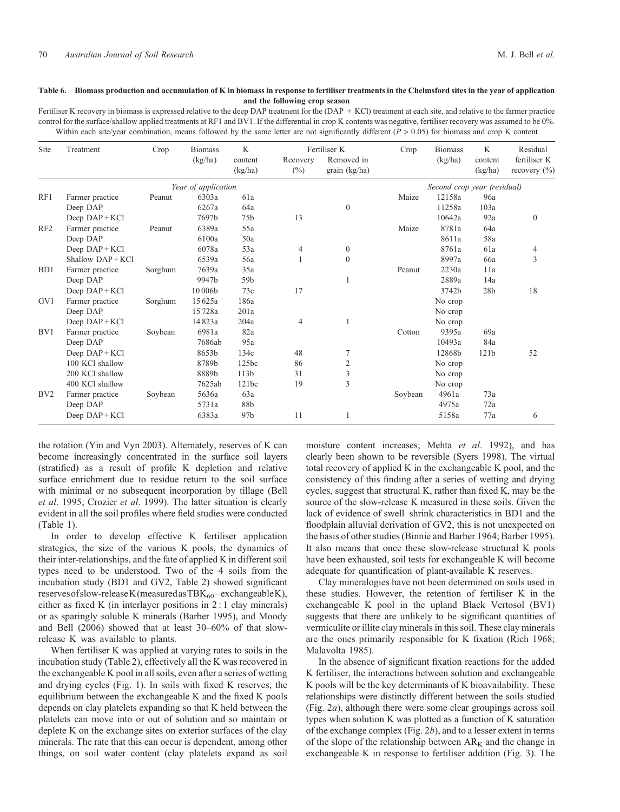#### <span id="page-10-0"></span>**Table 6. Biomass production and accumulation of K in biomass in response to fertiliser treatments in the Chelmsford sites in the year of application and the following crop season**

Fertiliser K recovery in biomass is expressed relative to the deep DAP treatment for the (DAP + KCl) treatment at each site, and relative to the farmer practice control for the surface/shallow applied treatments at RF1 and BV1. If the differential in crop K contents was negative, fertiliser recovery was assumed to be 0%. Within each site/year combination, means followed by the same letter are not significantly different (*P* > 0.05) for biomass and crop K content

| Site             | Treatment         | Crop    | <b>Biomass</b><br>(kg/ha) | K<br>content<br>(kg/ha) | Recovery<br>$(\%)$ | Fertiliser K<br>Removed in<br>grain (kg/ha) | Crop    | <b>Biomass</b><br>(kg/ha)   | K<br>content<br>(kg/ha) | Residual<br>fertiliser K<br>recovery $(\% )$ |
|------------------|-------------------|---------|---------------------------|-------------------------|--------------------|---------------------------------------------|---------|-----------------------------|-------------------------|----------------------------------------------|
|                  |                   |         | Year of application       |                         |                    |                                             |         | Second crop year (residual) |                         |                                              |
| RF1              | Farmer practice   | Peanut  | 6303a                     | 61a                     |                    |                                             | Maize   | 12158a                      | 96a                     |                                              |
|                  | Deep DAP          |         | 6267a                     | 64a                     |                    | $\theta$                                    |         | 11258a                      | 103a                    |                                              |
|                  | Deep $DAP + KCl$  |         | 7697b                     | 75 <sub>b</sub>         | 13                 |                                             |         | 10642a                      | 92a                     | $\boldsymbol{0}$                             |
| RF <sub>2</sub>  | Farmer practice   | Peanut  | 6389a                     | 55a                     |                    |                                             | Maize   | 8781a                       | 64a                     |                                              |
|                  | Deep DAP          |         | 6100a                     | 50a                     |                    |                                             |         | 8611a                       | 58a                     |                                              |
|                  | Deep $DAP + KCl$  |         | 6078a                     | 53a                     | 4                  | $\overline{0}$                              |         | 8761a                       | 61a                     | 4                                            |
|                  | $Shallow DAP+KC1$ |         | 6539a                     | 56a                     |                    | $\Omega$                                    |         | 8997a                       | 66a                     | 3                                            |
| B <sub>D</sub> 1 | Farmer practice   | Sorghum | 7639a                     | 35a                     |                    |                                             | Peanut  | 2230a                       | 11a                     |                                              |
|                  | Deep DAP          |         | 9947b                     | 59b                     |                    |                                             |         | 2889a                       | 14a                     |                                              |
|                  | Deep $DAP + KCl$  |         | 10 006b                   | 73c                     | 17                 |                                             |         | 3742b                       | 28 <sub>b</sub>         | 18                                           |
| GV1              | Farmer practice   | Sorghum | 15625a                    | 186a                    |                    |                                             |         | No crop                     |                         |                                              |
|                  | Deep DAP          |         | 15728a                    | 201a                    |                    |                                             |         | No crop                     |                         |                                              |
|                  | Deep DAP+KCl      |         | 14823a                    | 204a                    | 4                  |                                             |         | No crop                     |                         |                                              |
| BV1              | Farmer practice   | Soybean | 6981a                     | 82a                     |                    |                                             | Cotton  | 9395a                       | 69a                     |                                              |
|                  | Deep DAP          |         | 7686ab                    | 95a                     |                    |                                             |         | 10493a                      | 84a                     |                                              |
|                  | Deep $DAP + KCl$  |         | 8653b                     | 134c                    | 48                 |                                             |         | 12868b                      | 121b                    | 52                                           |
|                  | 100 KCl shallow   |         | 8789b                     | 125bc                   | 86                 | 2                                           |         | No crop                     |                         |                                              |
|                  | 200 KCl shallow   |         | 8889b                     | 113 <sub>b</sub>        | 31                 | 3                                           |         | No crop                     |                         |                                              |
|                  | 400 KCl shallow   |         | 7625ab                    | 121bc                   | 19                 | 3                                           |         | No crop                     |                         |                                              |
| B <sub>V2</sub>  | Farmer practice   | Soybean | 5636a                     | 63a                     |                    |                                             | Soybean | 4961a                       | 73a                     |                                              |
|                  | Deep DAP          |         | 5731a                     | 88b                     |                    |                                             |         | 4975a                       | 72a                     |                                              |
|                  | Deep $DAP + KCl$  |         | 6383a                     | 97b                     | 11                 |                                             |         | 5158a                       | 77a                     | 6                                            |

the rotation [\(Yin and Vyn 2003\)](#page-13-0). Alternately, reserves of K can become increasingly concentrated in the surface soil layers (stratified) as a result of profile K depletion and relative surface enrichment due to residue return to the soil surface with minimal or no subsequent incorporation by tillage [\(Bell](#page-12-0) *et al*[. 1995;](#page-12-0) [Crozier](#page-13-0) *et al*. 1999). The latter situation is clearly evident in all the soil profiles where field studies were conducted ([Table 1](#page-2-0)).

In order to develop effective K fertiliser application strategies, the size of the various K pools, the dynamics of their inter-relationships, and the fate of applied K in different soil types need to be understood. Two of the 4 soils from the incubation study (BD1 and GV2, [Table 2](#page-3-0)) showed significant reserves of slow-release K (measured as TBK<sub>60</sub>-exchangeable K), either as fixed K (in interlayer positions in 2 : 1 clay minerals) or as sparingly soluble K minerals ([Barber 1995](#page-12-0)), and [Moody](#page-13-0) [and Bell \(2006\)](#page-13-0) showed that at least 30–60% of that slowrelease K was available to plants.

When fertiliser K was applied at varying rates to soils in the incubation study ([Table 2\)](#page-3-0), effectively all the K was recovered in the exchangeable K pool in all soils, even after a series of wetting and drying cycles ([Fig. 1\)](#page-5-0). In soils with fixed K reserves, the equilibrium between the exchangeable K and the fixed K pools depends on clay platelets expanding so that K held between the platelets can move into or out of solution and so maintain or deplete K on the exchange sites on exterior surfaces of the clay minerals. The rate that this can occur is dependent, among other things, on soil water content (clay platelets expand as soil

moisture content increases; Mehta *et al*[. 1992\)](#page-13-0), and has clearly been shown to be reversible [\(Syers 1998\)](#page-13-0). The virtual total recovery of applied K in the exchangeable K pool, and the consistency of this finding after a series of wetting and drying cycles, suggest that structural K, rather than fixed K, may be the source of the slow-release K measured in these soils. Given the lack of evidence of swell–shrink characteristics in BD1 and the floodplain alluvial derivation of GV2, this is not unexpected on the basis of other studies ([Binnie and Barber 1964](#page-12-0); [Barber 1995\)](#page-12-0). It also means that once these slow-release structural K pools have been exhausted, soil tests for exchangeable K will become adequate for quantification of plant-available K reserves.

Clay mineralogies have not been determined on soils used in these studies. However, the retention of fertiliser K in the exchangeable K pool in the upland Black Vertosol (BV1) suggests that there are unlikely to be significant quantities of vermiculite or illite clay minerals in this soil. These clay minerals are the ones primarily responsible for K fixation [\(Rich 1968](#page-13-0); [Malavolta 1985\)](#page-13-0).

In the absence of significant fixation reactions for the added K fertiliser, the interactions between solution and exchangeable K pools will be the key determinants of K bioavailability. These relationships were distinctly different between the soils studied ([Fig. 2](#page-6-0)*a*), although there were some clear groupings across soil types when solution K was plotted as a function of K saturation of the exchange complex [\(Fig. 2](#page-6-0)*b*), and to a lesser extent in terms of the slope of the relationship between  $AR_K$  and the change in exchangeable K in response to fertiliser addition ([Fig. 3\)](#page-7-0). The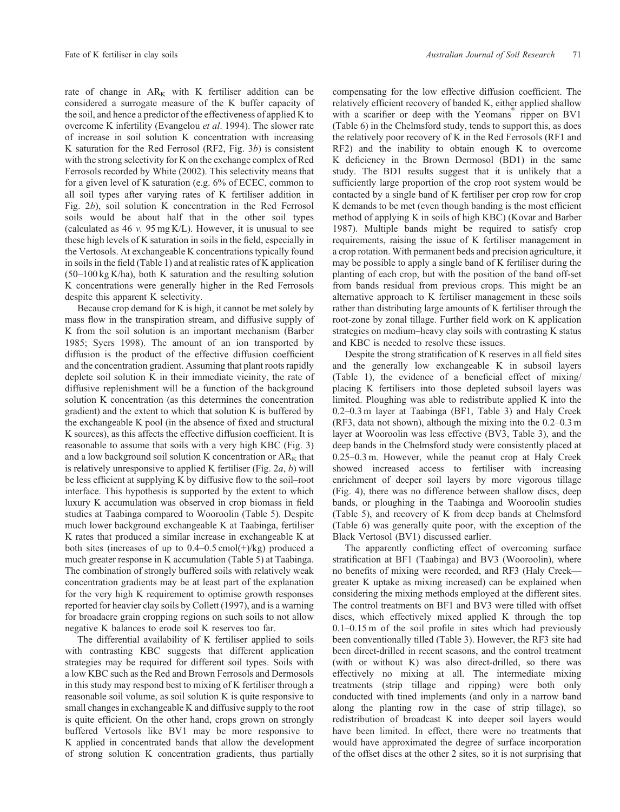rate of change in  $AR_K$  with K fertiliser addition can be considered a surrogate measure of the K buffer capacity of the soil, and hence a predictor of the effectiveness of applied K to overcome K infertility ([Evangelou](#page-13-0) *et al*. 1994). The slower rate of increase in soil solution K concentration with increasing K saturation for the Red Ferrosol (RF2, [Fig. 3](#page-7-0)*b*) is consistent with the strong selectivity for K on the exchange complex of Red Ferrosols recorded by [White \(2002\).](#page-13-0) This selectivity means that for a given level of K saturation (e.g. 6% of ECEC, common to all soil types after varying rates of K fertiliser addition in [Fig. 2](#page-6-0)*b*), soil solution K concentration in the Red Ferrosol soils would be about half that in the other soil types (calculated as 46 *v.* 95 mg K/L). However, it is unusual to see these high levels of K saturation in soils in the field, especially in the Vertosols. At exchangeable K concentrations typically found in soils in the field [\(Table 1](#page-2-0)) and at realistic rates of K application (50–100 kg K/ha), both K saturation and the resulting solution K concentrations were generally higher in the Red Ferrosols despite this apparent K selectivity.

Because crop demand for K is high, it cannot be met solely by mass flow in the transpiration stream, and diffusive supply of K from the soil solution is an important mechanism [\(Barber](#page-12-0) [1985](#page-12-0); [Syers 1998\)](#page-13-0). The amount of an ion transported by diffusion is the product of the effective diffusion coefficient and the concentration gradient. Assuming that plant roots rapidly deplete soil solution K in their immediate vicinity, the rate of diffusive replenishment will be a function of the background solution K concentration (as this determines the concentration gradient) and the extent to which that solution K is buffered by the exchangeable K pool (in the absence of fixed and structural K sources), as this affects the effective diffusion coefficient. It is reasonable to assume that soils with a very high KBC ([Fig. 3](#page-7-0)) and a low background soil solution K concentration or  $AR_K$  that is relatively unresponsive to applied K fertiliser ([Fig. 2](#page-6-0)*a*, *b*) will be less efficient at supplying K by diffusive flow to the soil–root interface. This hypothesis is supported by the extent to which luxury K accumulation was observed in crop biomass in field studies at Taabinga compared to Wooroolin ([Table 5\)](#page-8-0). Despite much lower background exchangeable K at Taabinga, fertiliser K rates that produced a similar increase in exchangeable K at both sites (increases of up to  $0.4-0.5$  cmol(+)/kg) produced a much greater response in K accumulation [\(Table 5](#page-8-0)) at Taabinga. The combination of strongly buffered soils with relatively weak concentration gradients may be at least part of the explanation for the very high K requirement to optimise growth responses reported for heavier clay soils by [Collett \(1997\)](#page-12-0), and is a warning for broadacre grain cropping regions on such soils to not allow negative K balances to erode soil K reserves too far.

The differential availability of K fertiliser applied to soils with contrasting KBC suggests that different application strategies may be required for different soil types. Soils with a low KBC such as the Red and Brown Ferrosols and Dermosols in this study may respond best to mixing of K fertiliser through a reasonable soil volume, as soil solution K is quite responsive to small changes in exchangeable K and diffusive supply to the root is quite efficient. On the other hand, crops grown on strongly buffered Vertosols like BV1 may be more responsive to K applied in concentrated bands that allow the development of strong solution K concentration gradients, thus partially

compensating for the low effective diffusion coefficient. The relatively efficient recovery of banded K, either applied shallow with a scarifier or deep with the Yeomans<sup>®</sup> ripper on BV1 [\(Table 6\)](#page-10-0) in the Chelmsford study, tends to support this, as does the relatively poor recovery of K in the Red Ferrosols (RF1 and RF2) and the inability to obtain enough K to overcome K deficiency in the Brown Dermosol (BD1) in the same study. The BD1 results suggest that it is unlikely that a sufficiently large proportion of the crop root system would be contacted by a single band of K fertiliser per crop row for crop K demands to be met (even though banding is the most efficient method of applying K in soils of high KBC) [\(Kovar and Barber](#page-13-0) [1987](#page-13-0)). Multiple bands might be required to satisfy crop requirements, raising the issue of K fertiliser management in a crop rotation. With permanent beds and precision agriculture, it may be possible to apply a single band of K fertiliser during the planting of each crop, but with the position of the band off-set from bands residual from previous crops. This might be an alternative approach to K fertiliser management in these soils rather than distributing large amounts of K fertiliser through the root-zone by zonal tillage. Further field work on K application strategies on medium–heavy clay soils with contrasting K status and KBC is needed to resolve these issues.

Despite the strong stratification of K reserves in all field sites and the generally low exchangeable K in subsoil layers [\(Table 1](#page-2-0)), the evidence of a beneficial effect of mixing/ placing K fertilisers into those depleted subsoil layers was limited. Ploughing was able to redistribute applied K into the 0.2–0.3 m layer at Taabinga (BF1, [Table 3\)](#page-7-0) and Haly Creek (RF3, data not shown), although the mixing into the 0.2–0.3 m layer at Wooroolin was less effective (BV3, [Table 3\)](#page-7-0), and the deep bands in the Chelmsford study were consistently placed at 0.25–0.3 m. However, while the peanut crop at Haly Creek showed increased access to fertiliser with increasing enrichment of deeper soil layers by more vigorous tillage [\(Fig. 4\)](#page-9-0), there was no difference between shallow discs, deep bands, or ploughing in the Taabinga and Wooroolin studies [\(Table 5\)](#page-8-0), and recovery of K from deep bands at Chelmsford [\(Table 6](#page-10-0)) was generally quite poor, with the exception of the Black Vertosol (BV1) discussed earlier.

The apparently conflicting effect of overcoming surface stratification at BF1 (Taabinga) and BV3 (Wooroolin), where no benefits of mixing were recorded, and RF3 (Haly Creek greater K uptake as mixing increased) can be explained when considering the mixing methods employed at the different sites. The control treatments on BF1 and BV3 were tilled with offset discs, which effectively mixed applied K through the top 0.1–0.15 m of the soil profile in sites which had previously been conventionally tilled [\(Table 3](#page-7-0)). However, the RF3 site had been direct-drilled in recent seasons, and the control treatment (with or without K) was also direct-drilled, so there was effectively no mixing at all. The intermediate mixing treatments (strip tillage and ripping) were both only conducted with tined implements (and only in a narrow band along the planting row in the case of strip tillage), so redistribution of broadcast K into deeper soil layers would have been limited. In effect, there were no treatments that would have approximated the degree of surface incorporation of the offset discs at the other 2 sites, so it is not surprising that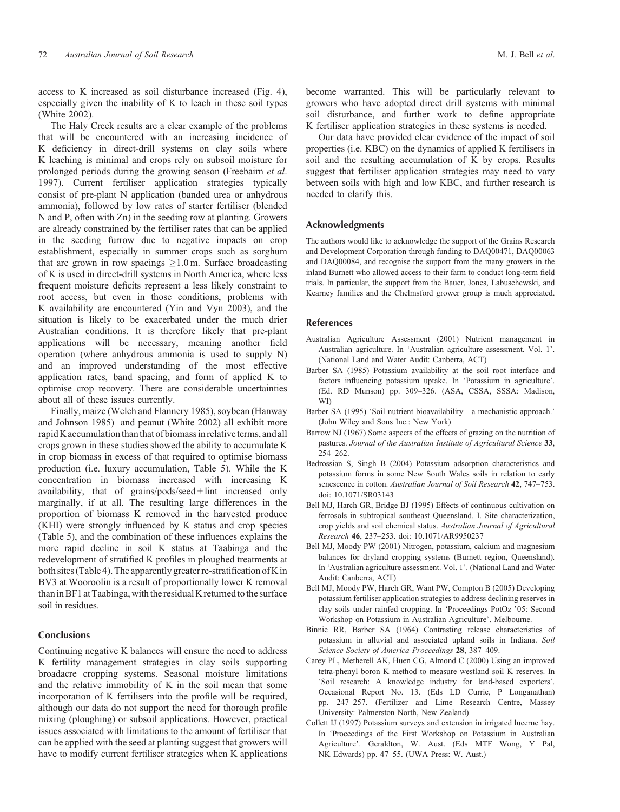<span id="page-12-0"></span>access to K increased as soil disturbance increased ([Fig. 4\)](#page-9-0), especially given the inability of K to leach in these soil types ([White 2002\)](#page-13-0).

The Haly Creek results are a clear example of the problems that will be encountered with an increasing incidence of K deficiency in direct-drill systems on clay soils where K leaching is minimal and crops rely on subsoil moisture for prolonged periods during the growing season [\(Freebairn](#page-13-0) *et al*. [1997\)](#page-13-0). Current fertiliser application strategies typically consist of pre-plant N application (banded urea or anhydrous ammonia), followed by low rates of starter fertiliser (blended N and P, often with Zn) in the seeding row at planting. Growers are already constrained by the fertiliser rates that can be applied in the seeding furrow due to negative impacts on crop establishment, especially in summer crops such as sorghum that are grown in row spacings  $\geq 1.0$  m. Surface broadcasting of K is used in direct-drill systems in North America, where less frequent moisture deficits represent a less likely constraint to root access, but even in those conditions, problems with K availability are encountered [\(Yin and Vyn 2003](#page-13-0)), and the situation is likely to be exacerbated under the much drier Australian conditions. It is therefore likely that pre-plant applications will be necessary, meaning another field operation (where anhydrous ammonia is used to supply N) and an improved understanding of the most effective application rates, band spacing, and form of applied K to optimise crop recovery. There are considerable uncertainties about all of these issues currently.

Finally, maize [\(Welch and Flannery 1985\)](#page-13-0), soybean ([Hanway](#page-13-0) [and Johnson 1985\)](#page-13-0) and peanut ([White 2002\)](#page-13-0) all exhibit more rapid K accumulation than that of biomass in relative terms, and all crops grown in these studies showed the ability to accumulate K in crop biomass in excess of that required to optimise biomass production (i.e. luxury accumulation, [Table 5\)](#page-8-0). While the K concentration in biomass increased with increasing K availability, that of grains/pods/seed + lint increased only marginally, if at all. The resulting large differences in the proportion of biomass K removed in the harvested produce (KHI) were strongly influenced by K status and crop species ([Table 5\)](#page-8-0), and the combination of these influences explains the more rapid decline in soil K status at Taabinga and the redevelopment of stratified K profiles in ploughed treatments at both sites ([Table 4](#page-8-0)). The apparently greater re-stratification of K in BV3 at Wooroolin is a result of proportionally lower K removal than in BF1 at Taabinga, with the residual K returned to the surface soil in residues.

## **Conclusions**

Continuing negative K balances will ensure the need to address K fertility management strategies in clay soils supporting broadacre cropping systems. Seasonal moisture limitations and the relative immobility of K in the soil mean that some incorporation of K fertilisers into the profile will be required, although our data do not support the need for thorough profile mixing (ploughing) or subsoil applications. However, practical issues associated with limitations to the amount of fertiliser that can be applied with the seed at planting suggest that growers will have to modify current fertiliser strategies when K applications

become warranted. This will be particularly relevant to growers who have adopted direct drill systems with minimal soil disturbance, and further work to define appropriate K fertiliser application strategies in these systems is needed.

Our data have provided clear evidence of the impact of soil properties (i.e. KBC) on the dynamics of applied K fertilisers in soil and the resulting accumulation of K by crops. Results suggest that fertiliser application strategies may need to vary between soils with high and low KBC, and further research is needed to clarify this.

#### **Acknowledgments**

The authors would like to acknowledge the support of the Grains Research and Development Corporation through funding to DAQ00471, DAQ00063 and DAQ00084, and recognise the support from the many growers in the inland Burnett who allowed access to their farm to conduct long-term field trials. In particular, the support from the Bauer, Jones, Labuschewski, and Kearney families and the Chelmsford grower group is much appreciated.

#### **References**

- Australian Agriculture Assessment (2001) Nutrient management in Australian agriculture. In 'Australian agriculture assessment. Vol. 1'. (National Land and Water Audit: Canberra, ACT)
- Barber SA (1985) Potassium availability at the soil–root interface and factors influencing potassium uptake. In 'Potassium in agriculture'. (Ed. RD Munson) pp. 309–326. (ASA, CSSA, SSSA: Madison, WI)
- Barber SA (1995) 'Soil nutrient bioavailability—a mechanistic approach.' (John Wiley and Sons Inc.: New York)
- Barrow NJ (1967) Some aspects of the effects of grazing on the nutrition of pastures. *Journal of the Australian Institute of Agricultural Science* **33**, 254–262.
- Bedrossian S, Singh B (2004) Potassium adsorption characteristics and potassium forms in some New South Wales soils in relation to early senescence in cotton. *Australian Journal of Soil Research* **42**, 747–753. doi: 10.1071/SR03143
- Bell MJ, Harch GR, Bridge BJ (1995) Effects of continuous cultivation on ferrosols in subtropical southeast Queensland. I. Site characterization, crop yields and soil chemical status. *Australian Journal of Agricultural Research* **46**, 237–253. doi: 10.1071/AR9950237
- Bell MJ, Moody PW (2001) Nitrogen, potassium, calcium and magnesium balances for dryland cropping systems (Burnett region, Queensland). In 'Australian agriculture assessment. Vol. 1'. (National Land and Water Audit: Canberra, ACT)
- Bell MJ, Moody PW, Harch GR, Want PW, Compton B (2005) Developing potassium fertiliser application strategies to address declining reserves in clay soils under rainfed cropping. In 'Proceedings PotOz '05: Second Workshop on Potassium in Australian Agriculture'. Melbourne.
- Binnie RR, Barber SA (1964) Contrasting release characteristics of potassium in alluvial and associated upland soils in Indiana. *Soil Science Society of America Proceedings* **28**, 387–409.
- Carey PL, Metherell AK, Huen CG, Almond C (2000) Using an improved tetra-phenyl boron K method to measure westland soil K reserves. In 'Soil research: A knowledge industry for land-based exporters'. Occasional Report No. 13. (Eds LD Currie, P Longanathan) pp. 247–257. (Fertilizer and Lime Research Centre, Massey University: Palmerston North, New Zealand)
- Collett IJ (1997) Potassium surveys and extension in irrigated lucerne hay. In 'Proceedings of the First Workshop on Potassium in Australian Agriculture'. Geraldton, W. Aust. (Eds MTF Wong, Y Pal, NK Edwards) pp. 47–55. (UWA Press: W. Aust.)